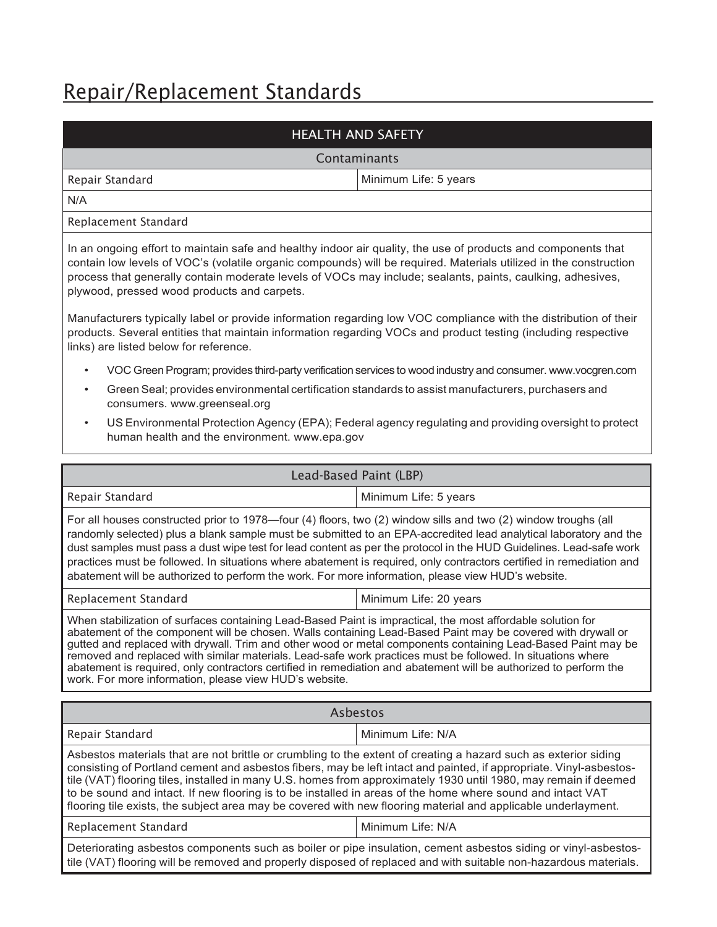# Repair/Replacement Standards

| <b>HEALTH AND SAFETY</b>                                                                                                                                                                                                                                                                                                                                                                                                                                                                                                                                                                                                                |                                                                                                              |
|-----------------------------------------------------------------------------------------------------------------------------------------------------------------------------------------------------------------------------------------------------------------------------------------------------------------------------------------------------------------------------------------------------------------------------------------------------------------------------------------------------------------------------------------------------------------------------------------------------------------------------------------|--------------------------------------------------------------------------------------------------------------|
|                                                                                                                                                                                                                                                                                                                                                                                                                                                                                                                                                                                                                                         | Contaminants                                                                                                 |
| Repair Standard                                                                                                                                                                                                                                                                                                                                                                                                                                                                                                                                                                                                                         | Minimum Life: 5 years                                                                                        |
| N/A                                                                                                                                                                                                                                                                                                                                                                                                                                                                                                                                                                                                                                     |                                                                                                              |
| Replacement Standard                                                                                                                                                                                                                                                                                                                                                                                                                                                                                                                                                                                                                    |                                                                                                              |
| In an ongoing effort to maintain safe and healthy indoor air quality, the use of products and components that<br>contain low levels of VOC's (volatile organic compounds) will be required. Materials utilized in the construction<br>process that generally contain moderate levels of VOCs may include; sealants, paints, caulking, adhesives,<br>plywood, pressed wood products and carpets.                                                                                                                                                                                                                                         |                                                                                                              |
| Manufacturers typically label or provide information regarding low VOC compliance with the distribution of their<br>products. Several entities that maintain information regarding VOCs and product testing (including respective<br>links) are listed below for reference.                                                                                                                                                                                                                                                                                                                                                             |                                                                                                              |
|                                                                                                                                                                                                                                                                                                                                                                                                                                                                                                                                                                                                                                         | VOC Green Program; provides third-party verification services to wood industry and consumer. www.vocgren.com |
| Green Seal; provides environmental certification standards to assist manufacturers, purchasers and<br>$\bullet$<br>consumers. www.greenseal.org                                                                                                                                                                                                                                                                                                                                                                                                                                                                                         |                                                                                                              |
| US Environmental Protection Agency (EPA); Federal agency regulating and providing oversight to protect<br>$\bullet$<br>human health and the environment. www.epa.gov                                                                                                                                                                                                                                                                                                                                                                                                                                                                    |                                                                                                              |
| Lead-Based Paint (LBP)                                                                                                                                                                                                                                                                                                                                                                                                                                                                                                                                                                                                                  |                                                                                                              |
| Repair Standard                                                                                                                                                                                                                                                                                                                                                                                                                                                                                                                                                                                                                         | Minimum Life: 5 years                                                                                        |
| For all houses constructed prior to 1978—four (4) floors, two (2) window sills and two (2) window troughs (all<br>randomly selected) plus a blank sample must be submitted to an EPA-accredited lead analytical laboratory and the<br>dust samples must pass a dust wipe test for lead content as per the protocol in the HUD Guidelines. Lead-safe work<br>practices must be followed. In situations where abatement is required, only contractors certified in remediation and<br>abatement will be authorized to perform the work. For more information, please view HUD's website.                                                  |                                                                                                              |
| Replacement Standard                                                                                                                                                                                                                                                                                                                                                                                                                                                                                                                                                                                                                    | Minimum Life: 20 years                                                                                       |
| When stabilization of surfaces containing Lead-Based Paint is impractical, the most affordable solution for<br>abatement of the component will be chosen. Walls containing Lead-Based Paint may be covered with drywall or<br>gutted and replaced with drywall. Trim and other wood or metal components containing Lead-Based Paint may be<br>removed and replaced with similar materials. Lead-safe work practices must be followed. In situations where<br>abatement is required, only contractors certified in remediation and abatement will be authorized to perform the<br>work. For more information, please view HUD's website. |                                                                                                              |
| <b>Asbestos</b>                                                                                                                                                                                                                                                                                                                                                                                                                                                                                                                                                                                                                         |                                                                                                              |
| Repair Standard                                                                                                                                                                                                                                                                                                                                                                                                                                                                                                                                                                                                                         | Minimum Life: N/A                                                                                            |
| Asbestos materials that are not brittle or crumbling to the extent of creating a hazard such as exterior siding<br>consisting of Portland cement and asbestos fibers, may be left intact and painted, if appropriate. Vinyl-asbestos-<br>tile (VAT) flooring tiles, installed in many U.S. homes from approximately 1930 until 1980, may remain if deemed<br>to be sound and intact. If new flooring is to be installed in areas of the home where sound and intact VAT<br>flooring tile exists, the subject area may be covered with new flooring material and applicable underlayment.                                                |                                                                                                              |
| Replacement Standard                                                                                                                                                                                                                                                                                                                                                                                                                                                                                                                                                                                                                    | Minimum Life: N/A                                                                                            |
| Deteriorating asbestos components such as boiler or pipe insulation, cement asbestos siding or vinyl-asbestos-<br>tile (VAT) flooring will be removed and properly disposed of replaced and with suitable non-hazardous materials.                                                                                                                                                                                                                                                                                                                                                                                                      |                                                                                                              |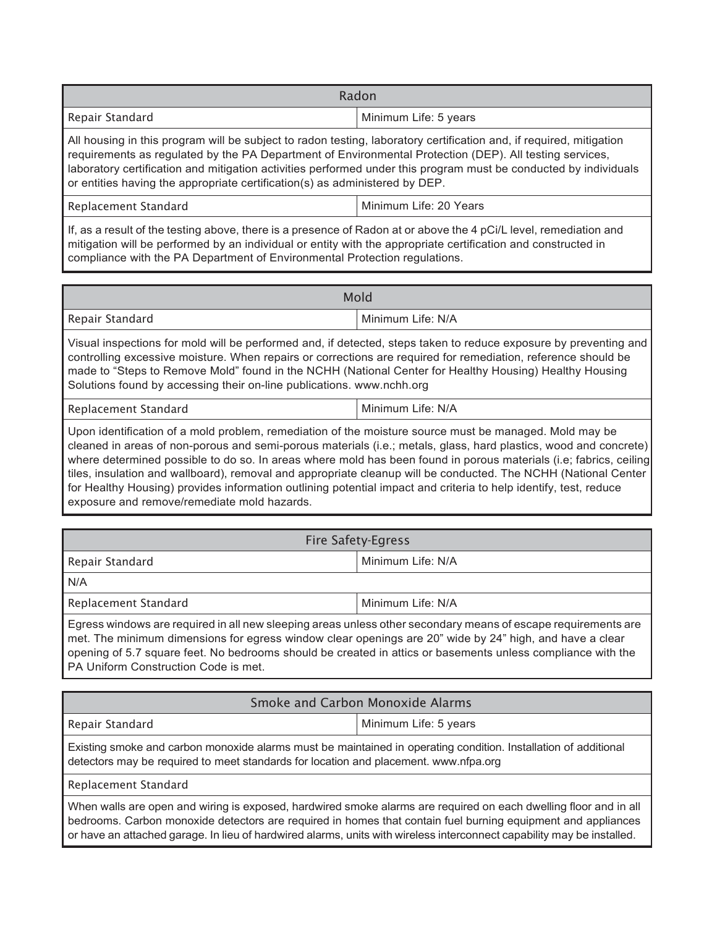| Radon                                                                                                                            |                       |
|----------------------------------------------------------------------------------------------------------------------------------|-----------------------|
| Repair Standard                                                                                                                  | Minimum Life: 5 years |
| $\blacksquare$ All bouging in this program will be subject to redep tosting. Jehoratory cortification and if required mitigation |                       |

All housing in this program will be subject to radon testing, laboratory certification and, if required, mitigation requirements as regulated by the PA Department of Environmental Protection (DEP). All testing services, laboratory certification and mitigation activities performed under this program must be conducted by individuals or entities having the appropriate certification(s) as administered by DEP.

Minimum Life: 20 Years

If, as a result of the testing above, there is a presence of Radon at or above the 4 pCi/L level, remediation and mitigation will be performed by an individual or entity with the appropriate certification and constructed in compliance with the PA Department of Environmental Protection regulations.

| Mold                                                                                                                                                                                                                                                                                                                                                                                                                 |                   |
|----------------------------------------------------------------------------------------------------------------------------------------------------------------------------------------------------------------------------------------------------------------------------------------------------------------------------------------------------------------------------------------------------------------------|-------------------|
| Repair Standard                                                                                                                                                                                                                                                                                                                                                                                                      | Minimum Life: N/A |
| Visual inspections for mold will be performed and, if detected, steps taken to reduce exposure by preventing and<br>controlling excessive moisture. When repairs or corrections are required for remediation, reference should be<br>made to "Steps to Remove Mold" found in the NCHH (National Center for Healthy Housing) Healthy Housing<br>Solutions found by accessing their on-line publications. www.nchh.org |                   |
| Replacement Standard                                                                                                                                                                                                                                                                                                                                                                                                 | Minimum Life: N/A |

Upon identification of a mold problem, remediation of the moisture source must be managed. Mold may be cleaned in areas of non-porous and semi-porous materials (i.e.; metals, glass, hard plastics, wood and concrete) where determined possible to do so. In areas where mold has been found in porous materials (i.e; fabrics, ceiling tiles, insulation and wallboard), removal and appropriate cleanup will be conducted. The NCHH (National Center for Healthy Housing) provides information outlining potential impact and criteria to help identify, test, reduce exposure and remove/remediate mold hazards.

| Fire Safety-Egress                                                                                                                                                                                                                                                                                                                         |                   |
|--------------------------------------------------------------------------------------------------------------------------------------------------------------------------------------------------------------------------------------------------------------------------------------------------------------------------------------------|-------------------|
| Repair Standard                                                                                                                                                                                                                                                                                                                            | Minimum Life: N/A |
| N/A                                                                                                                                                                                                                                                                                                                                        |                   |
| Replacement Standard                                                                                                                                                                                                                                                                                                                       | Minimum Life: N/A |
| Egress windows are required in all new sleeping areas unless other secondary means of escape requirements are<br>met. The minimum dimensions for egress window clear openings are 20" wide by 24" high, and have a clear<br>rende de la constitución de la contradición de la constitución de la constitución de la constitución de la con |                   |

opening of 5.7 square feet. No bedrooms should be created in attics or basements unless compliance with the PA Uniform Construction Code is met.

| Smoke and Carbon Monoxide Alarms                                                                                                                                                                                                  |                       |  |
|-----------------------------------------------------------------------------------------------------------------------------------------------------------------------------------------------------------------------------------|-----------------------|--|
| Repair Standard                                                                                                                                                                                                                   | Minimum Life: 5 years |  |
| Existing smoke and carbon monoxide alarms must be maintained in operating condition. Installation of additional<br>detectors may be required to meet standards for location and placement. www.nfpa.org                           |                       |  |
| Replacement Standard                                                                                                                                                                                                              |                       |  |
| When walls are open and wiring is exposed, hardwired smoke alarms are required on each dwelling floor and in all<br>hadrooma. Carban manayida dataatara ara raquirad in bamaa that aantain fual burning agunnaant and annlianaaa. |                       |  |

bedrooms. Carbon monoxide detectors are required in homes that contain fuel burning equipment and appliances or have an attached garage. In lieu of hardwired alarms, units with wireless interconnect capability may be installed.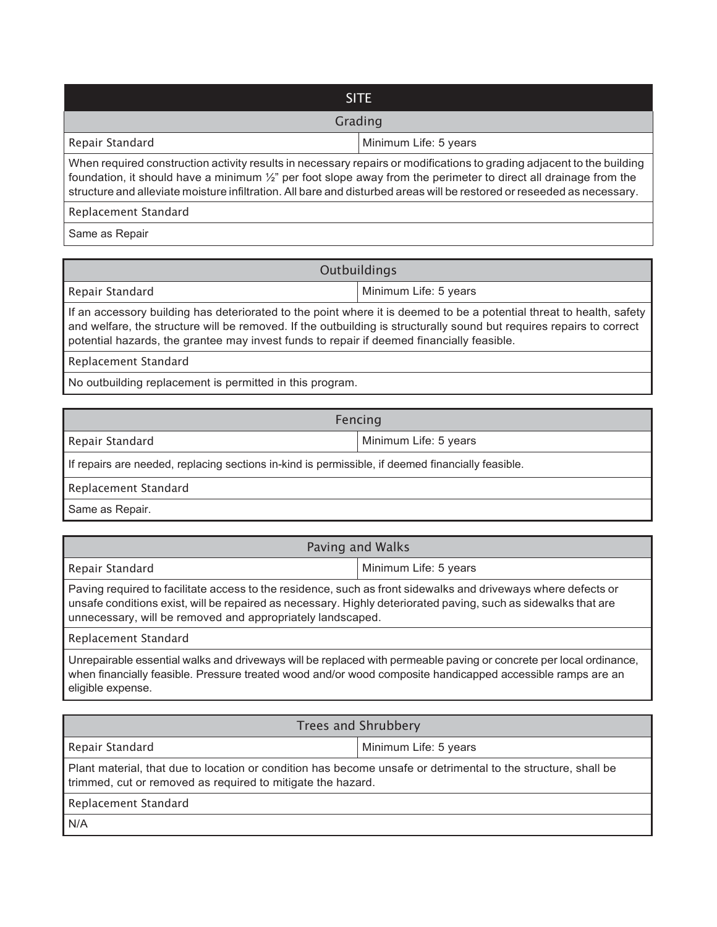| <b>SITE</b>                                                                                                                                                                                                                                                                                                                                                                  |                       |  |
|------------------------------------------------------------------------------------------------------------------------------------------------------------------------------------------------------------------------------------------------------------------------------------------------------------------------------------------------------------------------------|-----------------------|--|
| Grading                                                                                                                                                                                                                                                                                                                                                                      |                       |  |
| Repair Standard                                                                                                                                                                                                                                                                                                                                                              | Minimum Life: 5 years |  |
| When required construction activity results in necessary repairs or modifications to grading adjacent to the building<br>foundation, it should have a minimum $\frac{1}{2}$ per foot slope away from the perimeter to direct all drainage from the<br>structure and alleviate moisture infiltration. All bare and disturbed areas will be restored or reseeded as necessary. |                       |  |

Replacement Standard

Same as Repair

| Outbuildings |
|--------------|
|              |

Repair Standard Minimum Life: 5 years

If an accessory building has deteriorated to the point where it is deemed to be a potential threat to health, safety and welfare, the structure will be removed. If the outbuilding is structurally sound but requires repairs to correct potential hazards, the grantee may invest funds to repair if deemed financially feasible.

Replacement Standard

No outbuilding replacement is permitted in this program.

| Fencing                                                                                           |                       |  |
|---------------------------------------------------------------------------------------------------|-----------------------|--|
| Repair Standard                                                                                   | Minimum Life: 5 years |  |
| If repairs are needed, replacing sections in-kind is permissible, if deemed financially feasible. |                       |  |
| Replacement Standard                                                                              |                       |  |
| Same as Repair.                                                                                   |                       |  |

| Paving and Walks                                                                                                                                                                                                                                                                              |                       |  |
|-----------------------------------------------------------------------------------------------------------------------------------------------------------------------------------------------------------------------------------------------------------------------------------------------|-----------------------|--|
| Repair Standard                                                                                                                                                                                                                                                                               | Minimum Life: 5 years |  |
| Paving required to facilitate access to the residence, such as front sidewalks and driveways where defects or<br>unsafe conditions exist, will be repaired as necessary. Highly deteriorated paving, such as sidewalks that are<br>unnecessary, will be removed and appropriately landscaped. |                       |  |
| Replacement Standard                                                                                                                                                                                                                                                                          |                       |  |
| Unrepairable essential walks and driveways will be replaced with permeable paying or concrete per local ordinance.                                                                                                                                                                            |                       |  |

Unrepairable essential walks and driveways will be replaced with permeable paving or concrete per local ordinance, when financially feasible. Pressure treated wood and/or wood composite handicapped accessible ramps are an eligible expense.

| Trees and Shrubbery                                                                                                                                                          |                       |  |
|------------------------------------------------------------------------------------------------------------------------------------------------------------------------------|-----------------------|--|
| Repair Standard                                                                                                                                                              | Minimum Life: 5 years |  |
| Plant material, that due to location or condition has become unsafe or detrimental to the structure, shall be<br>trimmed, cut or removed as required to mitigate the hazard. |                       |  |
| Replacement Standard                                                                                                                                                         |                       |  |
| N/A                                                                                                                                                                          |                       |  |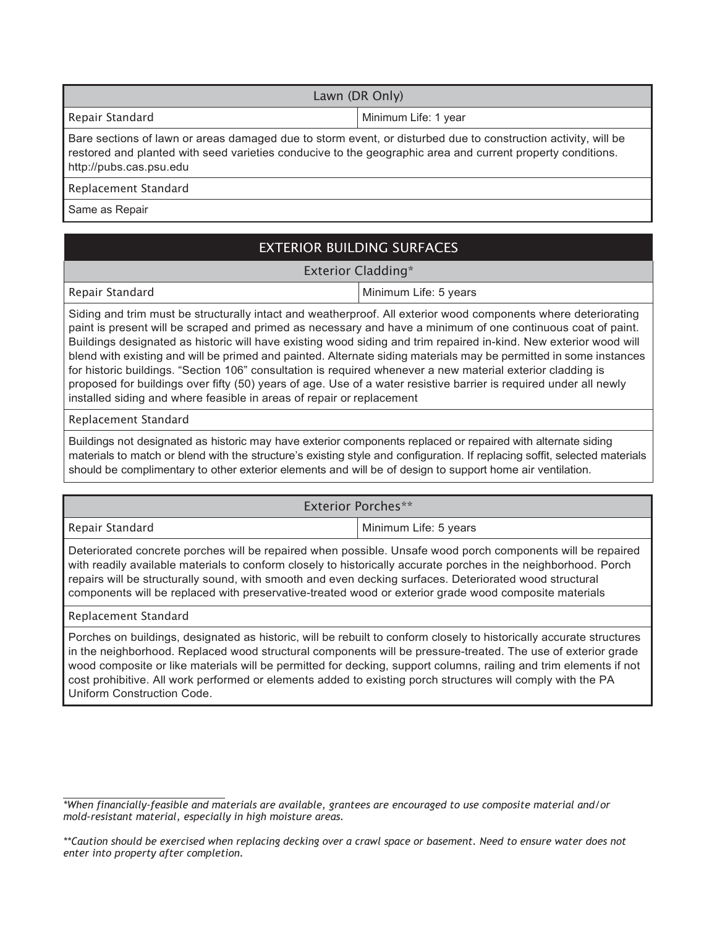| Lawn (DR Only)                                                                                                                                                                                                                                         |                      |  |
|--------------------------------------------------------------------------------------------------------------------------------------------------------------------------------------------------------------------------------------------------------|----------------------|--|
| Repair Standard                                                                                                                                                                                                                                        | Minimum Life: 1 year |  |
| Bare sections of lawn or areas damaged due to storm event, or disturbed due to construction activity, will be<br>restored and planted with seed varieties conducive to the geographic area and current property conditions.<br>http://pubs.cas.psu.edu |                      |  |

Replacement Standard

Same as Repair

# EXTERIOR BUILDING SURFACES

#### Exterior Cladding\*

Repair Standard Minimum Life: 5 years

Siding and trim must be structurally intact and weatherproof. All exterior wood components where deteriorating paint is present will be scraped and primed as necessary and have a minimum of one continuous coat of paint. Buildings designated as historic will have existing wood siding and trim repaired in-kind. New exterior wood will blend with existing and will be primed and painted. Alternate siding materials may be permitted in some instances for historic buildings. "Section 106" consultation is required whenever a new material exterior cladding is proposed for buildings over fifty (50) years of age. Use of a water resistive barrier is required under all newly installed siding and where feasible in areas of repair or replacement

Replacement Standard

Buildings not designated as historic may have exterior components replaced or repaired with alternate siding materials to match or blend with the structure's existing style and configuration. If replacing soffit, selected materials should be complimentary to other exterior elements and will be of design to support home air ventilation.

| Exterior Porches**                                                                                                                                                                                                             |                         |
|--------------------------------------------------------------------------------------------------------------------------------------------------------------------------------------------------------------------------------|-------------------------|
| Repair Standard                                                                                                                                                                                                                | l Minimum Life: 5 years |
| Deteriorated concrete porches will be repaired when possible. Unsafe wood porch components will be repaired<br>with readily available materials to conform closely to historically accurate porches in the neighborhood. Porch |                         |

onform closely to historically accurate porches in the neigh repairs will be structurally sound, with smooth and even decking surfaces. Deteriorated wood structural components will be replaced with preservative-treated wood or exterior grade wood composite materials

Replacement Standard

Porches on buildings, designated as historic, will be rebuilt to conform closely to historically accurate structures in the neighborhood. Replaced wood structural components will be pressure-treated. The use of exterior grade wood composite or like materials will be permitted for decking, support columns, railing and trim elements if not cost prohibitive. All work performed or elements added to existing porch structures will comply with the PA Uniform Construction Code.

*<sup>\*</sup>When financially-feasible and materials are available, grantees are encouraged to use composite material and/or mold-resistant material, especially in high moisture areas.*

*<sup>\*\*</sup>Caution should be exercised when replacing decking over a crawl space or basement. Need to ensure water does not enter into property after completion.*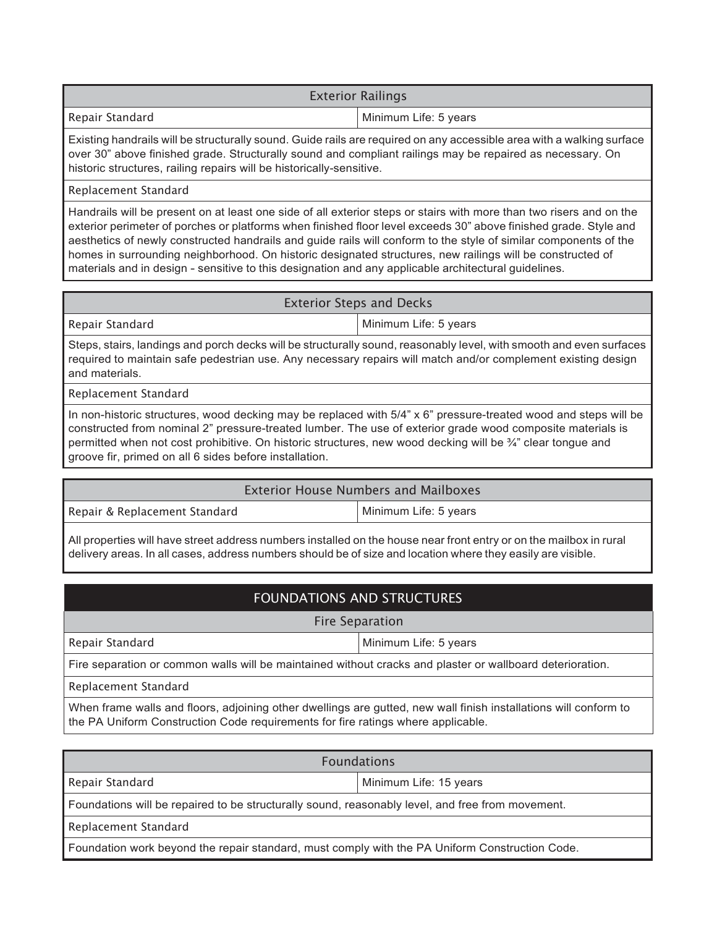|                 | <b>Exterior Railings</b> |
|-----------------|--------------------------|
| Repair Standard | Minimum Life: 5 years    |
|                 | .<br>.<br>.              |

Existing handrails will be structurally sound. Guide rails are required on any accessible area with a walking surface over 30" above finished grade. Structurally sound and compliant railings may be repaired as necessary. On historic structures, railing repairs will be historically-sensitive.

#### Replacement Standard

Handrails will be present on at least one side of all exterior steps or stairs with more than two risers and on the exterior perimeter of porches or platforms when finished floor level exceeds 30" above finished grade. Style and aesthetics of newly constructed handrails and guide rails will conform to the style of similar components of the homes in surrounding neighborhood. On historic designated structures, new railings will be constructed of materials and in design - sensitive to this designation and any applicable architectural guidelines.

#### Exterior Steps and Decks

Repair Standard Minimum Life: 5 years

Steps, stairs, landings and porch decks will be structurally sound, reasonably level, with smooth and even surfaces required to maintain safe pedestrian use. Any necessary repairs will match and/or complement existing design and materials.

Replacement Standard

In non-historic structures, wood decking may be replaced with 5/4" x 6" pressure-treated wood and steps will be constructed from nominal 2" pressure-treated lumber. The use of exterior grade wood composite materials is permitted when not cost prohibitive. On historic structures, new wood decking will be ¾" clear tongue and groove fir, primed on all 6 sides before installation.

### Exterior House Numbers and Mailboxes

Repair & Replacement Standard Minimum Life: 5 years

All properties will have street address numbers installed on the house near front entry or on the mailbox in rural delivery areas. In all cases, address numbers should be of size and location where they easily are visible.

# FOUNDATIONS AND STRUCTURES

Fire Separation

Repair Standard Minimum Life: 5 years

Fire separation or common walls will be maintained without cracks and plaster or wallboard deterioration.

Replacement Standard

When frame walls and floors, adjoining other dwellings are gutted, new wall finish installations will conform to the PA Uniform Construction Code requirements for fire ratings where applicable.

| <b>Foundations</b>                                                                               |                        |  |
|--------------------------------------------------------------------------------------------------|------------------------|--|
| Repair Standard                                                                                  | Minimum Life: 15 years |  |
| Foundations will be repaired to be structurally sound, reasonably level, and free from movement. |                        |  |
| Replacement Standard                                                                             |                        |  |
| Foundation work beyond the repair standard, must comply with the PA Uniform Construction Code.   |                        |  |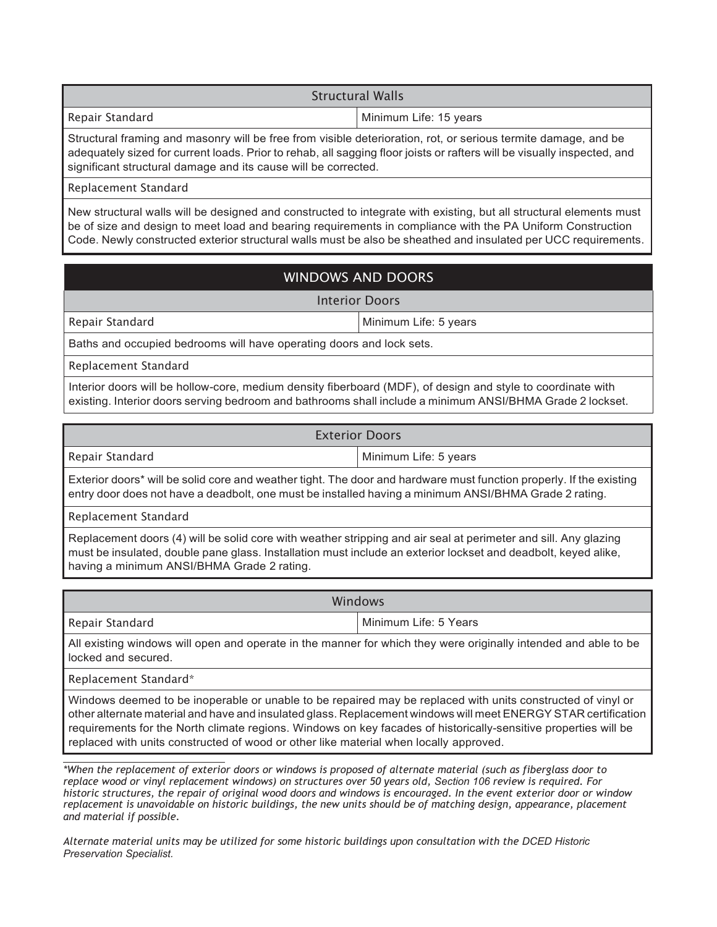| <b>Structural Walls</b>                                                                                        |                        |
|----------------------------------------------------------------------------------------------------------------|------------------------|
| Repair Standard                                                                                                | Minimum Life: 15 years |
| Structural framing and masonry will be free from visible deterioration, rot, or serious termite damage, and be |                        |

Structural framing and masonry will be free from visible deterioration, rot, or serious termite damage, and be adequately sized for current loads. Prior to rehab, all sagging floor joists or rafters will be visually inspected, and significant structural damage and its cause will be corrected.

Replacement Standard

New structural walls will be designed and constructed to integrate with existing, but all structural elements must be of size and design to meet load and bearing requirements in compliance with the PA Uniform Construction Code. Newly constructed exterior structural walls must be also be sheathed and insulated per UCC requirements.

# WINDOWS AND DOORS

Interior Doors

Repair Standard Minimum Life: 5 years

Baths and occupied bedrooms will have operating doors and lock sets.

Replacement Standard

Interior doors will be hollow-core, medium density fiberboard (MDF), of design and style to coordinate with existing. Interior doors serving bedroom and bathrooms shall include a minimum ANSI/BHMA Grade 2 lockset.

| <b>Exterior Doors</b> |                       |
|-----------------------|-----------------------|
| Repair Standard       | Minimum Life: 5 years |

Exterior doors\* will be solid core and weather tight. The door and hardware must function properly. If the existing entry door does not have a deadbolt, one must be installed having a minimum ANSI/BHMA Grade 2 rating.

Replacement Standard

Replacement doors (4) will be solid core with weather stripping and air seal at perimeter and sill. Any glazing must be insulated, double pane glass. Installation must include an exterior lockset and deadbolt, keyed alike, having a minimum ANSI/BHMA Grade 2 rating.

| Windows                                                                                                                             |                         |
|-------------------------------------------------------------------------------------------------------------------------------------|-------------------------|
| Repair Standard                                                                                                                     | l Minimum Life: 5 Years |
| المطالحة والطاح المسترقصات والمساوي والمستوع والمستحار والمتابع والمستحدث والمستحدث والمستحدث والأرود والمستوات والمستحدث والمستحدث |                         |

All existing windows will open and operate in the manner for which they were originally intended and able to be locked and secured.

Replacement Standard\*

Windows deemed to be inoperable or unable to be repaired may be replaced with units constructed of vinyl or other alternate material and have and insulated glass. Replacement windows will meet ENERGY STAR certification requirements for the North climate regions. Windows on key facades of historically-sensitive properties will be replaced with units constructed of wood or other like material when locally approved.

*\*When the replacement of exterior doors or windows is proposed of alternate material (such as fiberglass door to replace wood or vinyl replacement windows) on structures over 50 years old, Section 106 review is required. For historic structures, the repair of original wood doors and windows is encouraged. In the event exterior door or window replacement is unavoidable on historic buildings, the new units should be of matching design, appearance, placement and material if possible.*

*Alternate material units may be utilized for some historic buildings upon consultation with the DCED Historic Preservation Specialist.*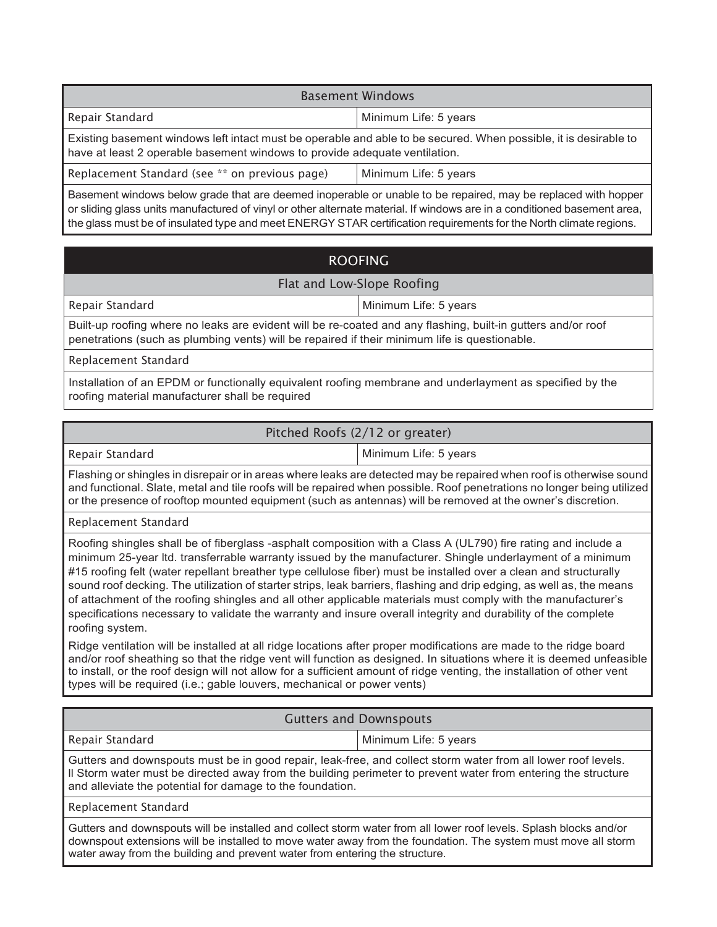| <b>Basement Windows</b>                                                                                                                                                                        |                       |  |
|------------------------------------------------------------------------------------------------------------------------------------------------------------------------------------------------|-----------------------|--|
| Repair Standard                                                                                                                                                                                | Minimum Life: 5 years |  |
| Existing basement windows left intact must be operable and able to be secured. When possible, it is desirable to<br>have at least 2 operable basement windows to provide adequate ventilation. |                       |  |
| Replacement Standard (see ** on previous page)                                                                                                                                                 | Minimum Life: 5 years |  |
| Recoment windows below arede that are deemed incorrectly or unable to be repaired may be replaced with benner                                                                                  |                       |  |

Basement windows below grade that are deemed inoperable or unable to be repaired, may be replaced with hopper or sliding glass units manufactured of vinyl or other alternate material. If windows are in a conditioned basement area, the glass must be of insulated type and meet ENERGY STAR certification requirements for the North climate regions.

# ROOFING

### Flat and Low-Slope Roofing

Repair Standard Minimum Life: 5 years

Built-up roofing where no leaks are evident will be re-coated and any flashing, built-in gutters and/or roof penetrations (such as plumbing vents) will be repaired if their minimum life is questionable.

Replacement Standard

Installation of an EPDM or functionally equivalent roofing membrane and underlayment as specified by the roofing material manufacturer shall be required

# Pitched Roofs (2/12 or greater)

Repair Standard Minimum Life: 5 years

Flashing or shingles in disrepair or in areas where leaks are detected may be repaired when roof is otherwise sound and functional. Slate, metal and tile roofs will be repaired when possible. Roof penetrations no longer being utilized or the presence of rooftop mounted equipment (such as antennas) will be removed at the owner's discretion.

Replacement Standard

Roofing shingles shall be of fiberglass -asphalt composition with a Class A (UL790) fire rating and include a minimum 25-year ltd. transferrable warranty issued by the manufacturer. Shingle underlayment of a minimum #15 roofing felt (water repellant breather type cellulose fiber) must be installed over a clean and structurally sound roof decking. The utilization of starter strips, leak barriers, flashing and drip edging, as well as, the means of attachment of the roofing shingles and all other applicable materials must comply with the manufacturer's specifications necessary to validate the warranty and insure overall integrity and durability of the complete roofing system.

Ridge ventilation will be installed at all ridge locations after proper modifications are made to the ridge board and/or roof sheathing so that the ridge vent will function as designed. In situations where it is deemed unfeasible to install, or the roof design will not allow for a sufficient amount of ridge venting, the installation of other vent types will be required (i.e.; gable louvers, mechanical or power vents)

| <b>Gutters and Downspouts</b>                                                                                                                                                                                                                                                                                     |                       |  |
|-------------------------------------------------------------------------------------------------------------------------------------------------------------------------------------------------------------------------------------------------------------------------------------------------------------------|-----------------------|--|
| Repair Standard                                                                                                                                                                                                                                                                                                   | Minimum Life: 5 years |  |
| Gutters and downspouts must be in good repair, leak-free, and collect storm water from all lower roof levels.<br>Il Storm water must be directed away from the building perimeter to prevent water from entering the structure<br>and alleviate the potential for damage to the foundation.                       |                       |  |
| Replacement Standard                                                                                                                                                                                                                                                                                              |                       |  |
| Gutters and downspouts will be installed and collect storm water from all lower roof levels. Splash blocks and/or<br>downspout extensions will be installed to move water away from the foundation. The system must move all storm<br>water away from the building and prevent water from entering the structure. |                       |  |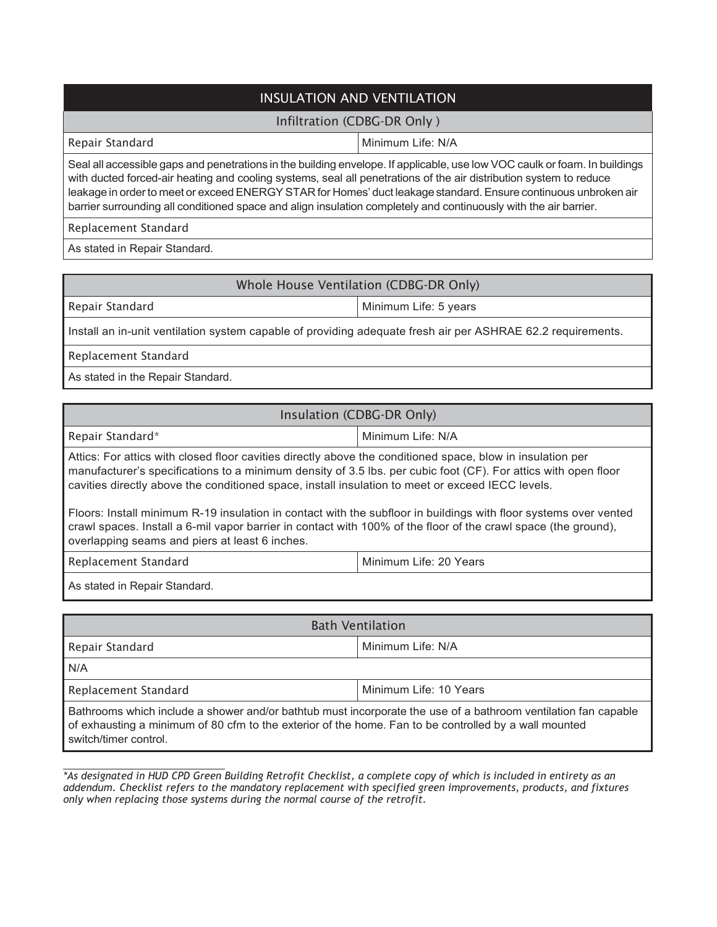# INSULATION AND VENTILATION

### Infiltration (CDBG-DR Only )

Repair Standard **Minimum Life: N/A** 

Seal all accessible gaps and penetrations in the building envelope. If applicable, use low VOC caulk or foam. In buildings with ducted forced-air heating and cooling systems, seal all penetrations of the air distribution system to reduce leakage in order to meet or exceed ENERGY STAR for Homes' duct leakage standard. Ensure continuous unbroken air barrier surrounding all conditioned space and align insulation completely and continuously with the air barrier.

Replacement Standard

As stated in Repair Standard.

# Whole House Ventilation (CDBG-DR Only)

Repair Standard Minimum Life: 5 years

Install an in-unit ventilation system capable of providing adequate fresh air per ASHRAE 62.2 requirements.

Replacement Standard

As stated in the Repair Standard.

### Insulation (CDBG-DR Only)

Repair Standard\* Minimum Life: N/A

Attics: For attics with closed floor cavities directly above the conditioned space, blow in insulation per manufacturer's specifications to a minimum density of 3.5 lbs. per cubic foot (CF). For attics with open floor cavities directly above the conditioned space, install insulation to meet or exceed IECC levels.

Floors: Install minimum R-19 insulation in contact with the subfloor in buildings with floor systems over vented crawl spaces. Install a 6-mil vapor barrier in contact with 100% of the floor of the crawl space (the ground), overlapping seams and piers at least 6 inches.

Replacement Standard Minimum Life: 20 Years

As stated in Repair Standard.

| <b>Bath Ventilation</b>                                                                                                                                                                                                 |                        |  |
|-------------------------------------------------------------------------------------------------------------------------------------------------------------------------------------------------------------------------|------------------------|--|
| Repair Standard                                                                                                                                                                                                         | l Minimum Life: N/A    |  |
| N/A                                                                                                                                                                                                                     |                        |  |
| Replacement Standard                                                                                                                                                                                                    | Minimum Life: 10 Years |  |
| Bathrooms which include a shower and/or bathtub must incorporate the use of a bathroom ventilation fan capable<br>of exhausting a minimum of 80 cfm to the exterior of the home. Fan to be controlled by a wall mounted |                        |  |

switch/timer control.

*\*As designated in HUD CPD Green Building Retrofit Checklist, a complete copy of which is included in entirety as an addendum. Checklist refers to the mandatory replacement with specified green improvements, products, and fixtures only when replacing those systems during the normal course of the retrofit.*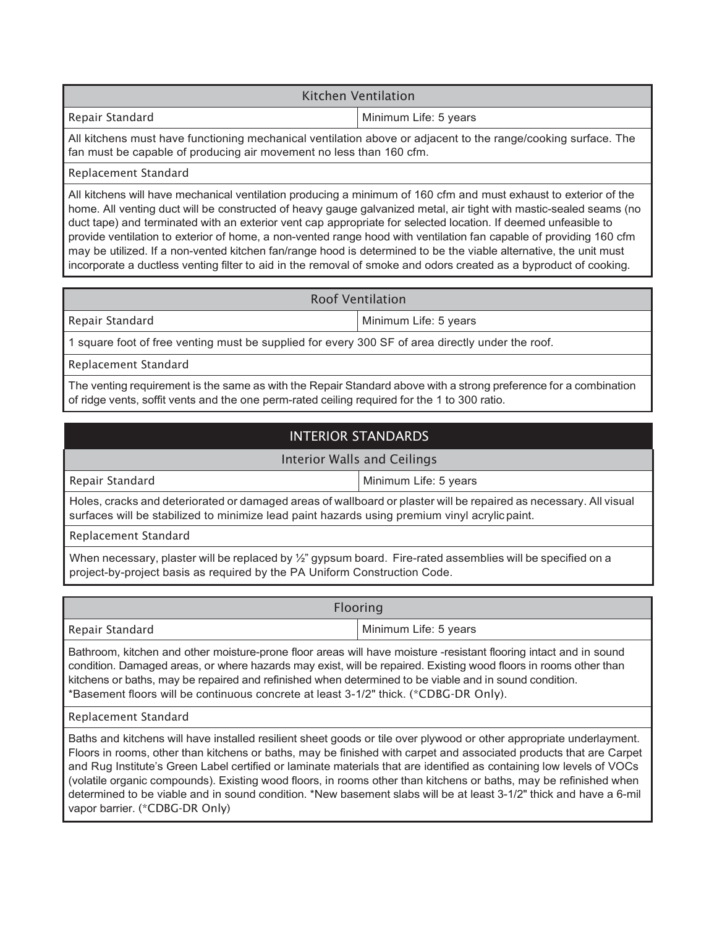#### Kitchen Ventilation

Repair Standard Minimum Life: 5 years

All kitchens must have functioning mechanical ventilation above or adjacent to the range/cooking surface. The fan must be capable of producing air movement no less than 160 cfm.

#### Replacement Standard

All kitchens will have mechanical ventilation producing a minimum of 160 cfm and must exhaust to exterior of the home. All venting duct will be constructed of heavy gauge galvanized metal, air tight with mastic-sealed seams (no duct tape) and terminated with an exterior vent cap appropriate for selected location. If deemed unfeasible to provide ventilation to exterior of home, a non-vented range hood with ventilation fan capable of providing 160 cfm may be utilized. If a non-vented kitchen fan/range hood is determined to be the viable alternative, the unit must incorporate a ductless venting filter to aid in the removal of smoke and odors created as a byproduct of cooking.

#### Roof Ventilation

Repair Standard Minimum Life: 5 years

1 square foot of free venting must be supplied for every 300 SF of area directly under the roof.

Replacement Standard

The venting requirement is the same as with the Repair Standard above with a strong preference for a combination of ridge vents, soffit vents and the one perm-rated ceiling required for the 1 to 300 ratio.

# INTERIOR STANDARDS

#### Interior Walls and Ceilings

Repair Standard Minimum Life: 5 years

Holes, cracks and deteriorated or damaged areas of wallboard or plaster will be repaired as necessary. All visual surfaces will be stabilized to minimize lead paint hazards using premium vinyl acrylic paint.

Replacement Standard

When necessary, plaster will be replaced by  $\frac{1}{2}$ " gypsum board. Fire-rated assemblies will be specified on a project-by-project basis as required by the PA Uniform Construction Code.

| <b>Flooring</b>                                                                                                                                                                                                                       |                       |
|---------------------------------------------------------------------------------------------------------------------------------------------------------------------------------------------------------------------------------------|-----------------------|
| Repair Standard                                                                                                                                                                                                                       | Minimum Life: 5 years |
| Bathroom, kitchen and other moisture-prone floor areas will have moisture -resistant flooring intact and in sound<br>condition. Damaged areas, or where hazards may exist, will be repaired. Existing wood floors in rooms other than |                       |

kitchens or baths, may be repaired and refinished when determined to be viable and in sound condition. \*Basement floors will be continuous concrete at least 3-1/2" thick. (\*CDBG-DR Only).

#### Replacement Standard

Baths and kitchens will have installed resilient sheet goods or tile over plywood or other appropriate underlayment. Floors in rooms, other than kitchens or baths, may be finished with carpet and associated products that are Carpet and Rug Institute's Green Label certified or laminate materials that are identified as containing low levels of VOCs (volatile organic compounds). Existing wood floors, in rooms other than kitchens or baths, may be refinished when determined to be viable and in sound condition. \*New basement slabs will be at least 3-1/2" thick and have a 6-mil vapor barrier. (\*CDBG-DR Only)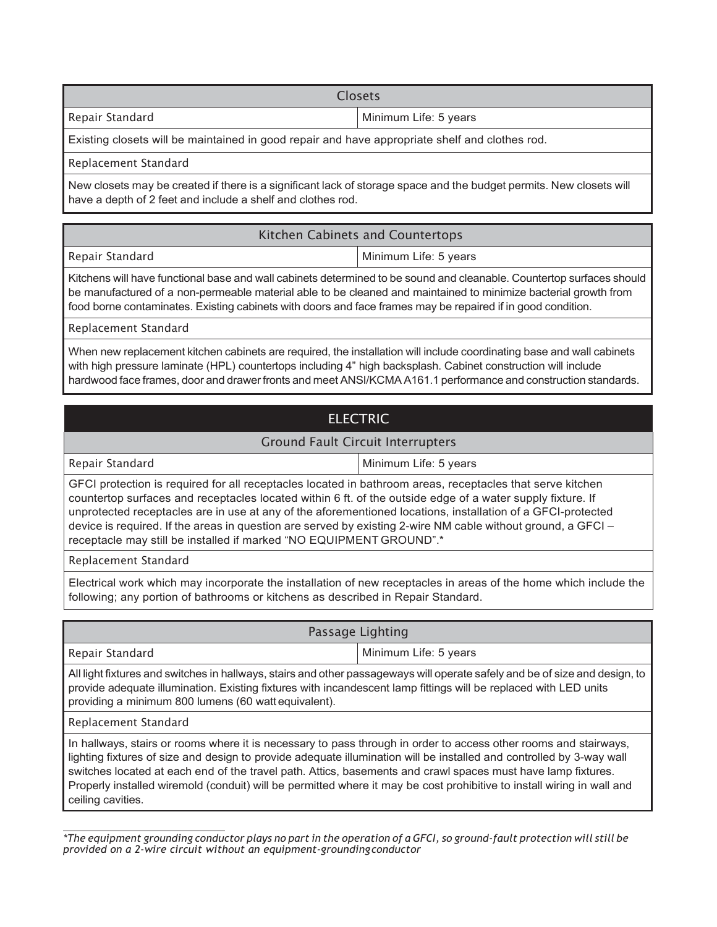| <b>Closets</b>                                                                                 |                       |
|------------------------------------------------------------------------------------------------|-----------------------|
| Repair Standard                                                                                | Minimum Life: 5 years |
| Existing closets will be maintained in good repair and have appropriate shelf and clothes rod. |                       |

Replacement Standard

New closets may be created if there is a significant lack of storage space and the budget permits. New closets will have a depth of 2 feet and include a shelf and clothes rod.

| Kitchen Cabinets and Countertops                                                                                                                                                                                                         |                       |
|------------------------------------------------------------------------------------------------------------------------------------------------------------------------------------------------------------------------------------------|-----------------------|
| Repair Standard                                                                                                                                                                                                                          | Minimum Life: 5 years |
| Kitchens will have functional base and wall cabinets determined to be sound and cleanable. Countertop surfaces should<br>be manufactured of a non-permeable material able to be cleaned and maintained to minimize bacterial growth from |                       |

food borne contaminates. Existing cabinets with doors and face frames may be repaired if in good condition.

Replacement Standard

When new replacement kitchen cabinets are required, the installation will include coordinating base and wall cabinets with high pressure laminate (HPL) countertops including 4" high backsplash. Cabinet construction will include hardwood face frames, door and drawerfronts and meet ANSI/KCMA A161.1 performance and construction standards.

# ELECTRIC

#### Ground Fault Circuit Interrupters

Repair Standard Minimum Life: 5 years

GFCI protection is required for all receptacles located in bathroom areas, receptacles that serve kitchen countertop surfaces and receptacles located within 6 ft. of the outside edge of a water supply fixture. If unprotected receptacles are in use at any of the aforementioned locations, installation of a GFCI-protected device is required. If the areas in question are served by existing 2-wire NM cable without ground, a GFCI – receptacle may still be installed if marked "NO EQUIPMENT GROUND".\*

Replacement Standard

Electrical work which may incorporate the installation of new receptacles in areas of the home which include the following; any portion of bathrooms or kitchens as described in Repair Standard.

| Passage Lighting                                                                                                                                                                                                                                                                                                                                         |                       |
|----------------------------------------------------------------------------------------------------------------------------------------------------------------------------------------------------------------------------------------------------------------------------------------------------------------------------------------------------------|-----------------------|
| Repair Standard                                                                                                                                                                                                                                                                                                                                          | Minimum Life: 5 years |
| All light fixtures and switches in hallways, stairs and other passageways will operate safely and be of size and design, to<br>provide adequate illumination. Existing fixtures with incandescent lamp fittings will be replaced with LED units<br>providing a minimum 800 lumens (60 watt equivalent).                                                  |                       |
| Replacement Standard                                                                                                                                                                                                                                                                                                                                     |                       |
| In hallways, stairs or rooms where it is necessary to pass through in order to access other rooms and stairways,<br>lighting fixtures of size and design to provide adequate illumination will be installed and controlled by 3-way wall<br>switches located at each end of the travel path. Attics, basements and crawl spaces must have lamp fixtures. |                       |

Properly installed wiremold (conduit) will be permitted where it may be cost prohibitive to install wiring in wall and ceiling cavities.

<sup>\*</sup>The equipment grounding conductor plays no part in the operation of a GFCI, so ground-fault protection will still be *provided on a 2-wire circuit without an equipment-groundingconductor*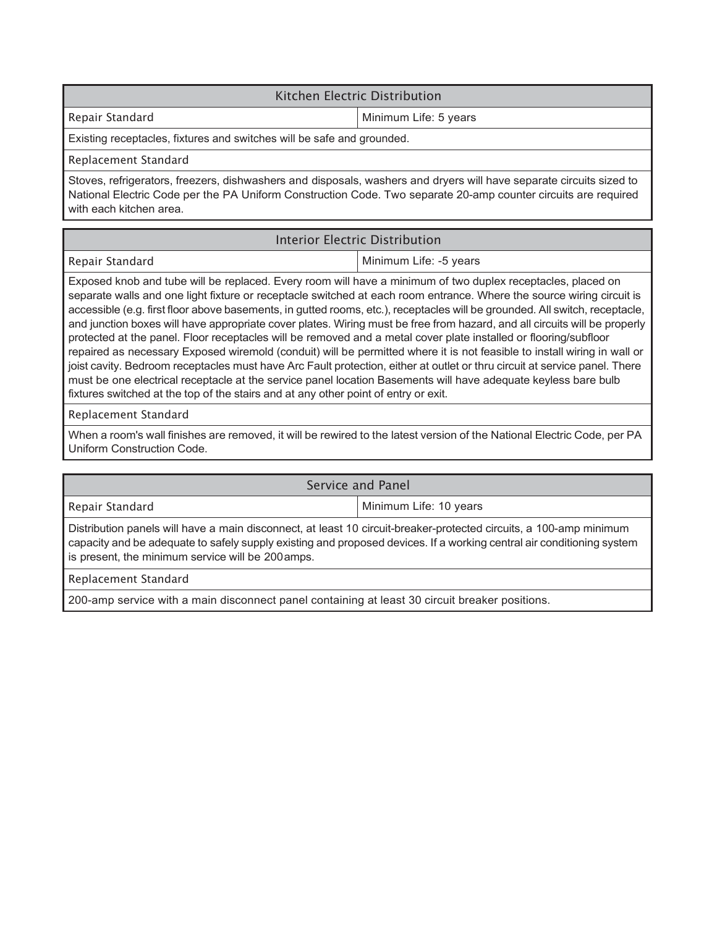### Kitchen Electric Distribution

Repair Standard Minimum Life: 5 years

Existing receptacles, fixtures and switches will be safe and grounded.

#### Replacement Standard

Stoves, refrigerators, freezers, dishwashers and disposals, washers and dryers will have separate circuits sized to National Electric Code per the PA Uniform Construction Code. Two separate 20-amp counter circuits are required with each kitchen area.

#### Interior Electric Distribution

#### Repair Standard **Minimum Life:** -5 years

Exposed knob and tube will be replaced. Every room will have a minimum of two duplex receptacles, placed on separate walls and one light fixture or receptacle switched at each room entrance. Where the source wiring circuit is accessible (e.g. first floor above basements, in gutted rooms, etc.), receptacles will be grounded. All switch, receptacle, and junction boxes will have appropriate cover plates. Wiring must be free from hazard, and all circuits will be properly protected at the panel. Floor receptacles will be removed and a metal cover plate installed or flooring/subfloor repaired as necessary Exposed wiremold (conduit) will be permitted where it is not feasible to install wiring in wall or joist cavity. Bedroom receptacles must have Arc Fault protection, either at outlet or thru circuit at service panel. There must be one electrical receptacle at the service panel location Basements will have adequate keyless bare bulb fixtures switched at the top of the stairs and at any other point of entry or exit.

#### Replacement Standard

When a room's wall finishes are removed, it will be rewired to the latest version of the National Electric Code, per PA Uniform Construction Code.

| Service and Panel                                                                                                                                                                                                                                                                                |                        |  |
|--------------------------------------------------------------------------------------------------------------------------------------------------------------------------------------------------------------------------------------------------------------------------------------------------|------------------------|--|
| Repair Standard                                                                                                                                                                                                                                                                                  | Minimum Life: 10 years |  |
| Distribution panels will have a main disconnect, at least 10 circuit-breaker-protected circuits, a 100-amp minimum<br>capacity and be adequate to safely supply existing and proposed devices. If a working central air conditioning system<br>is present, the minimum service will be 200 amps. |                        |  |
| Replacement Standard                                                                                                                                                                                                                                                                             |                        |  |
| 200-amp service with a main disconnect panel containing at least 30 circuit breaker positions.                                                                                                                                                                                                   |                        |  |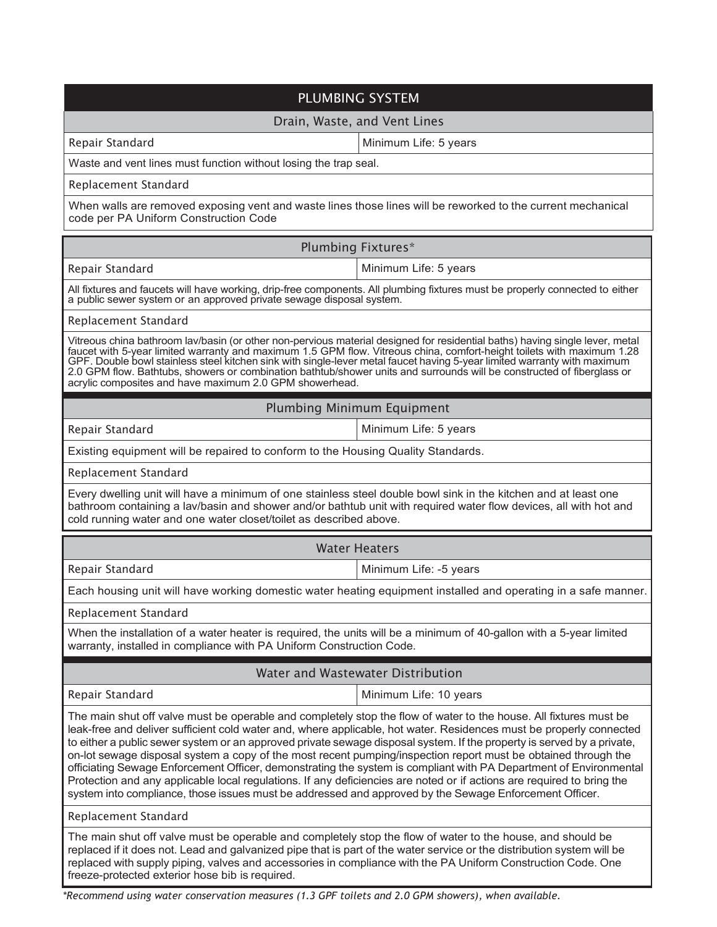| PLUMBING SYSTEM                                                                                                                                                                                                                                                                                                                                                                                                                                                                                                                                                                                                                                                                                                                                                                                                                               |                                                                                                                |
|-----------------------------------------------------------------------------------------------------------------------------------------------------------------------------------------------------------------------------------------------------------------------------------------------------------------------------------------------------------------------------------------------------------------------------------------------------------------------------------------------------------------------------------------------------------------------------------------------------------------------------------------------------------------------------------------------------------------------------------------------------------------------------------------------------------------------------------------------|----------------------------------------------------------------------------------------------------------------|
| Drain, Waste, and Vent Lines                                                                                                                                                                                                                                                                                                                                                                                                                                                                                                                                                                                                                                                                                                                                                                                                                  |                                                                                                                |
| Repair Standard                                                                                                                                                                                                                                                                                                                                                                                                                                                                                                                                                                                                                                                                                                                                                                                                                               | Minimum Life: 5 years                                                                                          |
| Waste and vent lines must function without losing the trap seal.                                                                                                                                                                                                                                                                                                                                                                                                                                                                                                                                                                                                                                                                                                                                                                              |                                                                                                                |
| Replacement Standard                                                                                                                                                                                                                                                                                                                                                                                                                                                                                                                                                                                                                                                                                                                                                                                                                          |                                                                                                                |
| When walls are removed exposing vent and waste lines those lines will be reworked to the current mechanical<br>code per PA Uniform Construction Code                                                                                                                                                                                                                                                                                                                                                                                                                                                                                                                                                                                                                                                                                          |                                                                                                                |
|                                                                                                                                                                                                                                                                                                                                                                                                                                                                                                                                                                                                                                                                                                                                                                                                                                               | <b>Plumbing Fixtures*</b>                                                                                      |
| Repair Standard                                                                                                                                                                                                                                                                                                                                                                                                                                                                                                                                                                                                                                                                                                                                                                                                                               | Minimum Life: 5 years                                                                                          |
| All fixtures and faucets will have working, drip-free components. All plumbing fixtures must be properly connected to either<br>a public sewer system or an approved private sewage disposal system.                                                                                                                                                                                                                                                                                                                                                                                                                                                                                                                                                                                                                                          |                                                                                                                |
| Replacement Standard                                                                                                                                                                                                                                                                                                                                                                                                                                                                                                                                                                                                                                                                                                                                                                                                                          |                                                                                                                |
| Vitreous china bathroom lav/basin (or other non-pervious material designed for residential baths) having single lever, metal<br>faucet with 5-year limited warranty and maximum 1.5 GPM flow. Vitreous china, comfort-height toilets with maximum 1.28<br>GPF. Double bowl stainless steel kitchen sink with single-lever metal faucet having 5-year limited warranty with maximum<br>2.0 GPM flow. Bathtubs, showers or combination bathtub/shower units and surrounds will be constructed of fiberglass or<br>acrylic composites and have maximum 2.0 GPM showerhead.                                                                                                                                                                                                                                                                       |                                                                                                                |
|                                                                                                                                                                                                                                                                                                                                                                                                                                                                                                                                                                                                                                                                                                                                                                                                                                               | Plumbing Minimum Equipment                                                                                     |
| Repair Standard                                                                                                                                                                                                                                                                                                                                                                                                                                                                                                                                                                                                                                                                                                                                                                                                                               | Minimum Life: 5 years                                                                                          |
| Existing equipment will be repaired to conform to the Housing Quality Standards.                                                                                                                                                                                                                                                                                                                                                                                                                                                                                                                                                                                                                                                                                                                                                              |                                                                                                                |
| Replacement Standard                                                                                                                                                                                                                                                                                                                                                                                                                                                                                                                                                                                                                                                                                                                                                                                                                          |                                                                                                                |
| Every dwelling unit will have a minimum of one stainless steel double bowl sink in the kitchen and at least one<br>bathroom containing a lav/basin and shower and/or bathtub unit with required water flow devices, all with hot and<br>cold running water and one water closet/toilet as described above.                                                                                                                                                                                                                                                                                                                                                                                                                                                                                                                                    |                                                                                                                |
|                                                                                                                                                                                                                                                                                                                                                                                                                                                                                                                                                                                                                                                                                                                                                                                                                                               | <b>Water Heaters</b>                                                                                           |
| Repair Standard                                                                                                                                                                                                                                                                                                                                                                                                                                                                                                                                                                                                                                                                                                                                                                                                                               | Minimum Life: -5 years                                                                                         |
|                                                                                                                                                                                                                                                                                                                                                                                                                                                                                                                                                                                                                                                                                                                                                                                                                                               | Each housing unit will have working domestic water heating equipment installed and operating in a safe manner. |
| Replacement Standard                                                                                                                                                                                                                                                                                                                                                                                                                                                                                                                                                                                                                                                                                                                                                                                                                          |                                                                                                                |
| When the installation of a water heater is required, the units will be a minimum of 40-gallon with a 5-year limited<br>warranty, installed in compliance with PA Uniform Construction Code.                                                                                                                                                                                                                                                                                                                                                                                                                                                                                                                                                                                                                                                   |                                                                                                                |
| Water and Wastewater Distribution                                                                                                                                                                                                                                                                                                                                                                                                                                                                                                                                                                                                                                                                                                                                                                                                             |                                                                                                                |
| Repair Standard                                                                                                                                                                                                                                                                                                                                                                                                                                                                                                                                                                                                                                                                                                                                                                                                                               | Minimum Life: 10 years                                                                                         |
| The main shut off valve must be operable and completely stop the flow of water to the house. All fixtures must be<br>leak-free and deliver sufficient cold water and, where applicable, hot water. Residences must be properly connected<br>to either a public sewer system or an approved private sewage disposal system. If the property is served by a private,<br>on-lot sewage disposal system a copy of the most recent pumping/inspection report must be obtained through the<br>officiating Sewage Enforcement Officer, demonstrating the system is compliant with PA Department of Environmental<br>Protection and any applicable local regulations. If any deficiencies are noted or if actions are required to bring the<br>system into compliance, those issues must be addressed and approved by the Sewage Enforcement Officer. |                                                                                                                |
| Replacement Standard                                                                                                                                                                                                                                                                                                                                                                                                                                                                                                                                                                                                                                                                                                                                                                                                                          |                                                                                                                |
| The main shut off valve must be operable and completely stop the flow of water to the house, and should be<br>replaced if it does not. Lead and galvanized pipe that is part of the water service or the distribution system will be<br>replaced with supply piping, valves and accessories in compliance with the PA Uniform Construction Code. One<br>freeze-protected exterior hose bib is required.                                                                                                                                                                                                                                                                                                                                                                                                                                       |                                                                                                                |

*\*Recommend using water conservation measures (1.3 GPF toilets and 2.0 GPM showers), when available.*